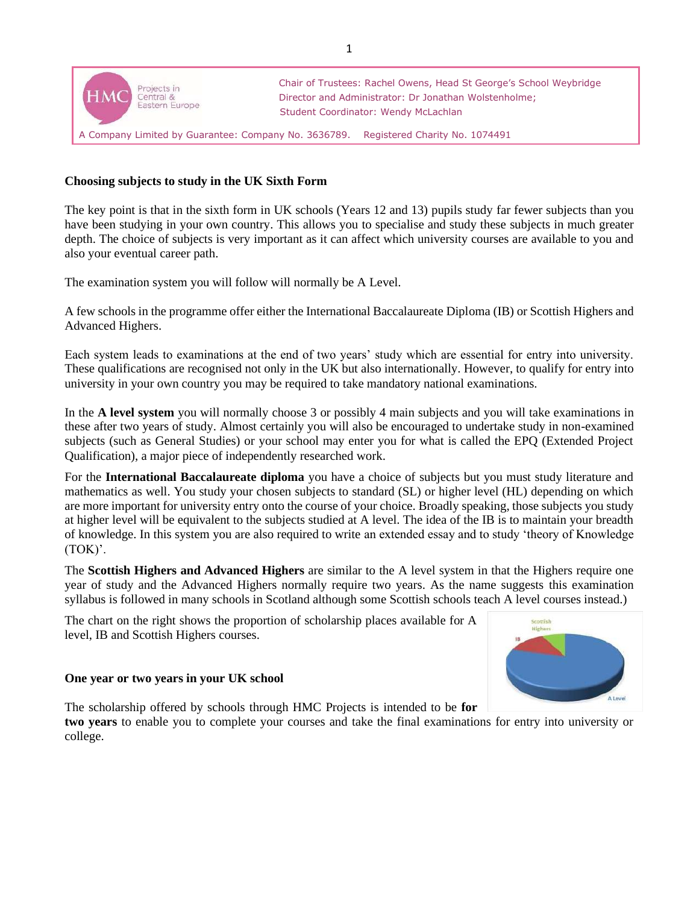

## **Choosing subjects to study in the UK Sixth Form**

The key point is that in the sixth form in UK schools (Years 12 and 13) pupils study far fewer subjects than you have been studying in your own country. This allows you to specialise and study these subjects in much greater depth. The choice of subjects is very important as it can affect which university courses are available to you and also your eventual career path.

The examination system you will follow will normally be A Level.

A few schools in the programme offer either the International Baccalaureate Diploma (IB) or Scottish Highers and Advanced Highers.

Each system leads to examinations at the end of two years' study which are essential for entry into university. These qualifications are recognised not only in the UK but also internationally. However, to qualify for entry into university in your own country you may be required to take mandatory national examinations.

In the **A level system** you will normally choose 3 or possibly 4 main subjects and you will take examinations in these after two years of study. Almost certainly you will also be encouraged to undertake study in non-examined subjects (such as General Studies) or your school may enter you for what is called the EPQ (Extended Project Qualification), a major piece of independently researched work.

For the **International Baccalaureate diploma** you have a choice of subjects but you must study literature and mathematics as well. You study your chosen subjects to standard (SL) or higher level (HL) depending on which are more important for university entry onto the course of your choice. Broadly speaking, those subjects you study at higher level will be equivalent to the subjects studied at A level. The idea of the IB is to maintain your breadth of knowledge. In this system you are also required to write an extended essay and to study 'theory of Knowledge (TOK)'.

The **Scottish Highers and Advanced Highers** are similar to the A level system in that the Highers require one year of study and the Advanced Highers normally require two years. As the name suggests this examination syllabus is followed in many schools in Scotland although some Scottish schools teach A level courses instead.)

The chart on the right shows the proportion of scholarship places available for A level, IB and Scottish Highers courses.



## **One year or two years in your UK school**

The scholarship offered by schools through HMC Projects is intended to be **for** 

**two years** to enable you to complete your courses and take the final examinations for entry into university or college.

1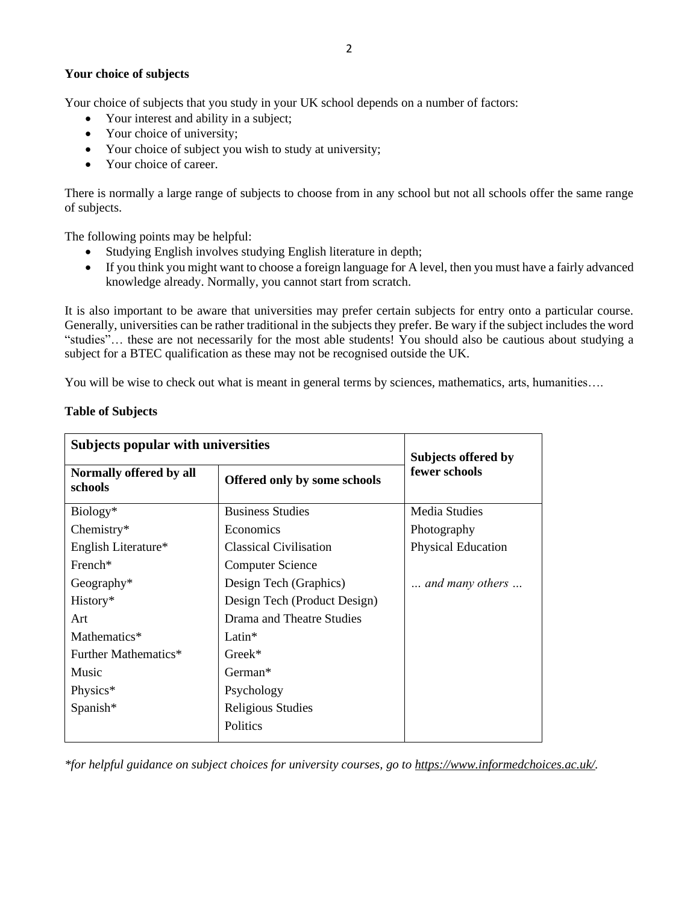## **Your choice of subjects**

Your choice of subjects that you study in your UK school depends on a number of factors:

- Your interest and ability in a subject;
- Your choice of university;
- Your choice of subject you wish to study at university;
- Your choice of career.

There is normally a large range of subjects to choose from in any school but not all schools offer the same range of subjects.

The following points may be helpful:

- Studying English involves studying English literature in depth;
- If you think you might want to choose a foreign language for A level, then you must have a fairly advanced knowledge already. Normally, you cannot start from scratch.

It is also important to be aware that universities may prefer certain subjects for entry onto a particular course. Generally, universities can be rather traditional in the subjects they prefer. Be wary if the subject includes the word "studies"… these are not necessarily for the most able students! You should also be cautious about studying a subject for a BTEC qualification as these may not be recognised outside the UK.

You will be wise to check out what is meant in general terms by sciences, mathematics, arts, humanities....

|  |  | <b>Table of Subjects</b> |
|--|--|--------------------------|
|--|--|--------------------------|

| <b>Subjects popular with universities</b> |                              | Subjects offered by       |
|-------------------------------------------|------------------------------|---------------------------|
| Normally offered by all<br>schools        | Offered only by some schools | fewer schools             |
| Biology*                                  | <b>Business Studies</b>      | <b>Media Studies</b>      |
| Chemistry*                                | Economics                    | Photography               |
| English Literature*                       | Classical Civilisation       | <b>Physical Education</b> |
| $French*$                                 | <b>Computer Science</b>      |                           |
| Geography $*$                             | Design Tech (Graphics)       | and many others           |
| History*                                  | Design Tech (Product Design) |                           |
| Art                                       | Drama and Theatre Studies    |                           |
| Mathematics*                              | $Latin*$                     |                           |
| Further Mathematics*                      | $Greek*$                     |                           |
| Music                                     | $German*$                    |                           |
| Physics*                                  | Psychology                   |                           |
| Spanish*                                  | Religious Studies            |                           |
|                                           | Politics                     |                           |

*\*for helpful guidance on subject choices for university courses, go to [https://www.informedchoices.ac.uk/.](https://www.informedchoices.ac.uk/)*